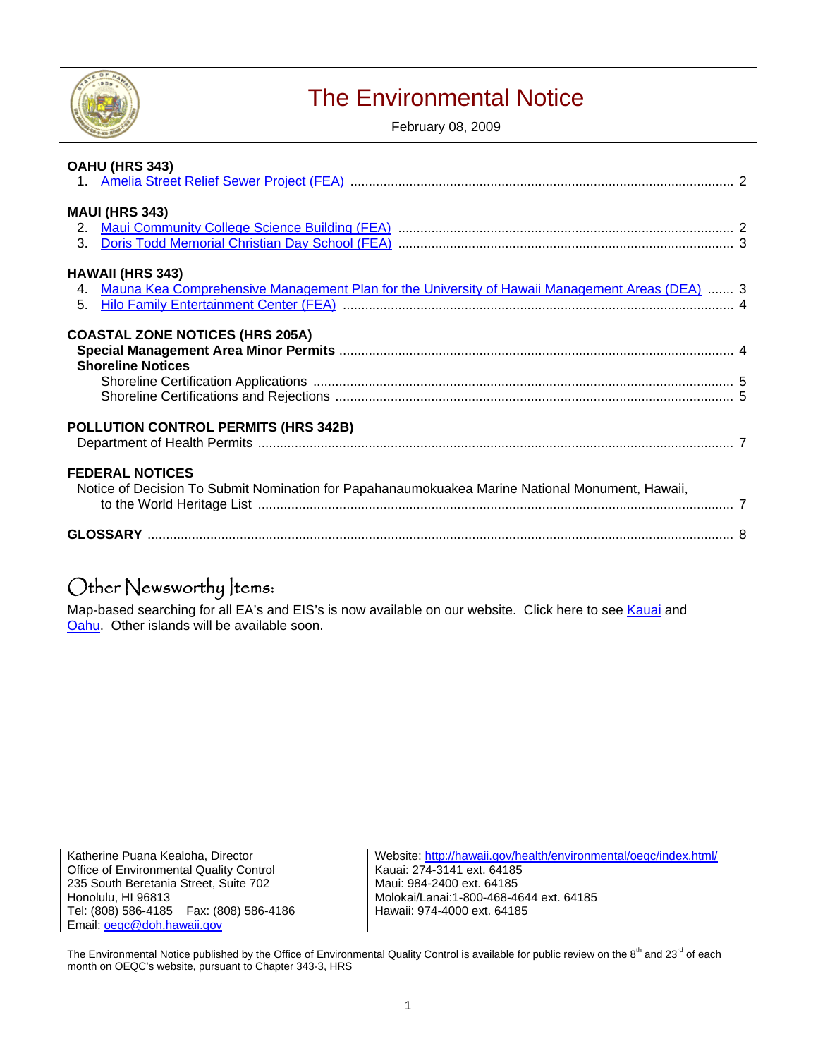

# The Environmental Notice

February 08, 2009

| OAHU (HRS 343)                                                                                    |  |
|---------------------------------------------------------------------------------------------------|--|
|                                                                                                   |  |
| <b>MAUI (HRS 343)</b>                                                                             |  |
|                                                                                                   |  |
| <b>HAWAII (HRS 343)</b>                                                                           |  |
| 4. Mauna Kea Comprehensive Management Plan for the University of Hawaii Management Areas (DEA)  3 |  |
| <b>COASTAL ZONE NOTICES (HRS 205A)</b>                                                            |  |
| <b>Shoreline Notices</b>                                                                          |  |
|                                                                                                   |  |
|                                                                                                   |  |
| POLLUTION CONTROL PERMITS (HRS 342B)                                                              |  |
|                                                                                                   |  |
| <b>FEDERAL NOTICES</b>                                                                            |  |
| Notice of Decision To Submit Nomination for Papahanaumokuakea Marine National Monument, Hawaii,   |  |
|                                                                                                   |  |
|                                                                                                   |  |

# Other Newsworthy Items:

Map-based searching for all EA's and EIS's is now available on our website. Click here to see [Kauai](http://oeqc.doh.hawaii.gov/gis/kauai_map.html) and [Oahu.](http://oeqc.doh.hawaii.gov/gis/oahu_map.html) Other islands will be available soon.

| Katherine Puana Kealoha, Director          | Website: http://hawaii.gov/health/environmental/oegc/index.html/ |
|--------------------------------------------|------------------------------------------------------------------|
| Office of Environmental Quality Control    | Kauai: 274-3141 ext. 64185                                       |
| 235 South Beretania Street, Suite 702      | Maui: 984-2400 ext. 64185                                        |
| Honolulu. HI 96813                         | Molokai/Lanai:1-800-468-4644 ext. 64185                          |
| Tel: (808) 586-4185    Fax: (808) 586-4186 | Hawaii: 974-4000 ext. 64185                                      |
| Email: oegc@doh.hawaii.gov                 |                                                                  |

The Environmental Notice published by the Office of Environmental Quality Control is available for public review on the 8<sup>th</sup> and 23<sup>rd</sup> of each month on OEQC's website, pursuant to Chapter 343-3, HRS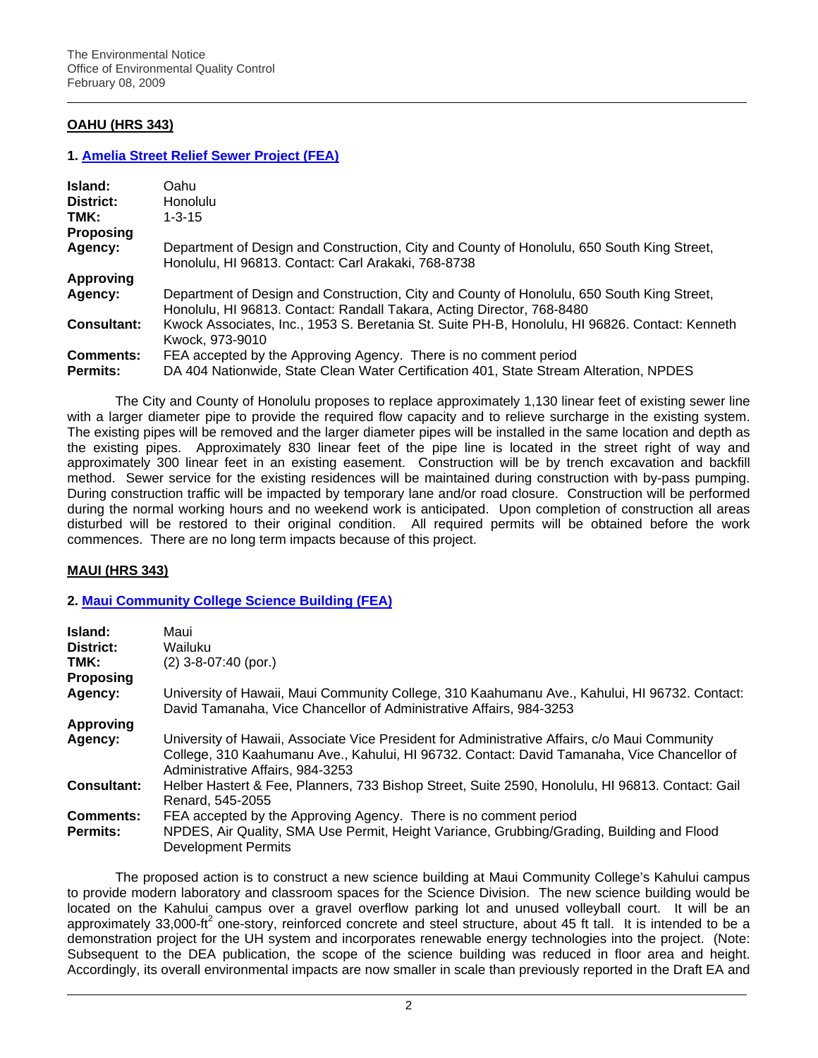# **OAHU (HRS 343)**

## **1. [Amelia Street Relief Sewer Project \(FEA\)](http://oeqc.doh.hawaii.gov/Shared%20Documents/EA_and_EIS_Online_Library/Oahu/2000s/2009-02-08-OA-FEA-Amelia-Street-Sewer.pdf)**

| Island:            | Oahu                                                                                                                                                                 |
|--------------------|----------------------------------------------------------------------------------------------------------------------------------------------------------------------|
| District:          | <b>Honolulu</b>                                                                                                                                                      |
| TMK:               | $1 - 3 - 15$                                                                                                                                                         |
| <b>Proposing</b>   |                                                                                                                                                                      |
| Agency:            | Department of Design and Construction, City and County of Honolulu, 650 South King Street,<br>Honolulu, HI 96813. Contact: Carl Arakaki, 768-8738                    |
| <b>Approving</b>   |                                                                                                                                                                      |
| Agency:            | Department of Design and Construction, City and County of Honolulu, 650 South King Street,<br>Honolulu, HI 96813. Contact: Randall Takara, Acting Director, 768-8480 |
| <b>Consultant:</b> | Kwock Associates, Inc., 1953 S. Beretania St. Suite PH-B, Honolulu, HI 96826. Contact: Kenneth<br>Kwock. 973-9010                                                    |
| <b>Comments:</b>   | FEA accepted by the Approving Agency. There is no comment period                                                                                                     |
| <b>Permits:</b>    | DA 404 Nationwide, State Clean Water Certification 401, State Stream Alteration, NPDES                                                                               |

The City and County of Honolulu proposes to replace approximately 1,130 linear feet of existing sewer line with a larger diameter pipe to provide the required flow capacity and to relieve surcharge in the existing system. The existing pipes will be removed and the larger diameter pipes will be installed in the same location and depth as the existing pipes. Approximately 830 linear feet of the pipe line is located in the street right of way and approximately 300 linear feet in an existing easement. Construction will be by trench excavation and backfill method. Sewer service for the existing residences will be maintained during construction with by-pass pumping. During construction traffic will be impacted by temporary lane and/or road closure. Construction will be performed during the normal working hours and no weekend work is anticipated. Upon completion of construction all areas disturbed will be restored to their original condition. All required permits will be obtained before the work commences. There are no long term impacts because of this project.

### **MAUI (HRS 343)**

## **2. [Maui Community College Science Building \(FEA\)](http://oeqc.doh.hawaii.gov/Shared%20Documents/EA_and_EIS_Online_Library/Maui/2000s/2009-02-08-MA-FEA-Maui-Community-College-Science-Building.pdf)**

| Island:<br>District:                | Maui<br>Wailuku                                                                                                                                                                                                                  |
|-------------------------------------|----------------------------------------------------------------------------------------------------------------------------------------------------------------------------------------------------------------------------------|
| TMK:                                | $(2)$ 3-8-07:40 (por.)                                                                                                                                                                                                           |
| <b>Proposing</b>                    |                                                                                                                                                                                                                                  |
| Agency:                             | University of Hawaii, Maui Community College, 310 Kaahumanu Ave., Kahului, HI 96732. Contact:<br>David Tamanaha, Vice Chancellor of Administrative Affairs, 984-3253                                                             |
| <b>Approving</b>                    |                                                                                                                                                                                                                                  |
| Agency:                             | University of Hawaii, Associate Vice President for Administrative Affairs, c/o Maui Community<br>College, 310 Kaahumanu Ave., Kahului, HI 96732. Contact: David Tamanaha, Vice Chancellor of<br>Administrative Affairs, 984-3253 |
| Consultant:                         | Helber Hastert & Fee, Planners, 733 Bishop Street, Suite 2590, Honolulu, HI 96813. Contact: Gail<br>Renard, 545-2055                                                                                                             |
| <b>Comments:</b><br><b>Permits:</b> | FEA accepted by the Approving Agency. There is no comment period<br>NPDES, Air Quality, SMA Use Permit, Height Variance, Grubbing/Grading, Building and Flood<br>Development Permits                                             |

The proposed action is to construct a new science building at Maui Community College's Kahului campus to provide modern laboratory and classroom spaces for the Science Division. The new science building would be located on the Kahului campus over a gravel overflow parking lot and unused volleyball court. It will be an approximately 33,000-ft<sup>2</sup> one-story, reinforced concrete and steel structure, about 45 ft tall. It is intended to be a demonstration project for the UH system and incorporates renewable energy technologies into the project. (Note: Subsequent to the DEA publication, the scope of the science building was reduced in floor area and height. Accordingly, its overall environmental impacts are now smaller in scale than previously reported in the Draft EA and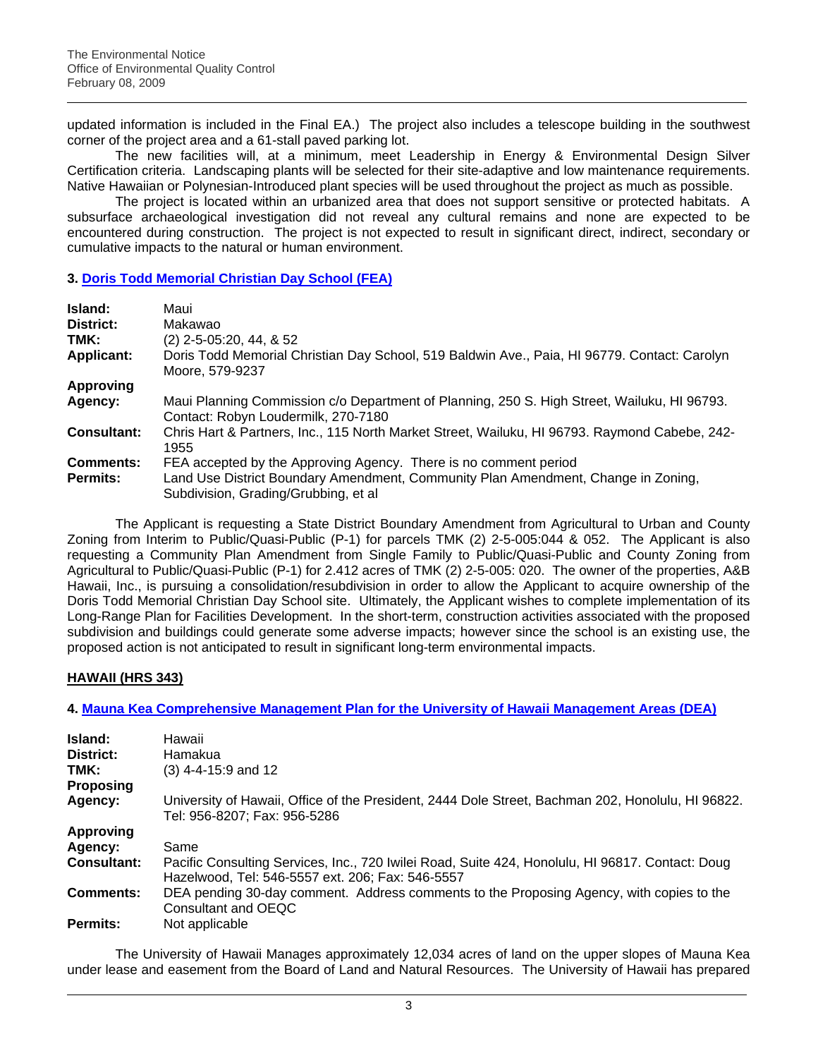updated information is included in the Final EA.) The project also includes a telescope building in the southwest corner of the project area and a 61-stall paved parking lot.

The new facilities will, at a minimum, meet Leadership in Energy & Environmental Design Silver Certification criteria. Landscaping plants will be selected for their site-adaptive and low maintenance requirements. Native Hawaiian or Polynesian-Introduced plant species will be used throughout the project as much as possible.

The project is located within an urbanized area that does not support sensitive or protected habitats. A subsurface archaeological investigation did not reveal any cultural remains and none are expected to be encountered during construction. The project is not expected to result in significant direct, indirect, secondary or cumulative impacts to the natural or human environment.

# **3. [Doris Todd Memorial Christian Day School \(FEA\)](http://oeqc.doh.hawaii.gov/Shared%20Documents/EA_and_EIS_Online_Library/Maui/2000s/2009-02-08-MA-FEA-Doris-Todd-School.pdf)**

| Island:            | Maui                                                                                                                               |
|--------------------|------------------------------------------------------------------------------------------------------------------------------------|
| District:          | Makawao                                                                                                                            |
| TMK:               | $(2)$ 2-5-05:20, 44, & 52                                                                                                          |
| <b>Applicant:</b>  | Doris Todd Memorial Christian Day School, 519 Baldwin Ave., Paia, HI 96779. Contact: Carolyn<br>Moore, 579-9237                    |
| <b>Approving</b>   |                                                                                                                                    |
| Agency:            | Maui Planning Commission c/o Department of Planning, 250 S. High Street, Wailuku, HI 96793.<br>Contact: Robyn Loudermilk, 270-7180 |
| <b>Consultant:</b> | Chris Hart & Partners, Inc., 115 North Market Street, Wailuku, HI 96793. Raymond Cabebe, 242-<br>1955                              |
| <b>Comments:</b>   | FEA accepted by the Approving Agency. There is no comment period                                                                   |
| <b>Permits:</b>    | Land Use District Boundary Amendment, Community Plan Amendment, Change in Zoning,<br>Subdivision, Grading/Grubbing, et al          |

The Applicant is requesting a State District Boundary Amendment from Agricultural to Urban and County Zoning from Interim to Public/Quasi-Public (P-1) for parcels TMK (2) 2-5-005:044 & 052. The Applicant is also requesting a Community Plan Amendment from Single Family to Public/Quasi-Public and County Zoning from Agricultural to Public/Quasi-Public (P-1) for 2.412 acres of TMK (2) 2-5-005: 020. The owner of the properties, A&B Hawaii, Inc., is pursuing a consolidation/resubdivision in order to allow the Applicant to acquire ownership of the Doris Todd Memorial Christian Day School site. Ultimately, the Applicant wishes to complete implementation of its Long-Range Plan for Facilities Development. In the short-term, construction activities associated with the proposed subdivision and buildings could generate some adverse impacts; however since the school is an existing use, the proposed action is not anticipated to result in significant long-term environmental impacts.

# **HAWAII (HRS 343)**

## **4. [Mauna Kea Comprehensive Management Plan for the University of Hawaii Management Areas \(DEA\)](http://oeqc.doh.hawaii.gov/Shared%20Documents/EA_and_EIS_Online_Library/Hawaii/2000s/2009-02-08-HA-DEA-Mauna-Kea-Comp-Management-Plan.pdf)**

| Island:<br>District:<br>TMK: | Hawaii<br>Hamakua<br>$(3)$ 4-4-15:9 and 12                                                                                                           |
|------------------------------|------------------------------------------------------------------------------------------------------------------------------------------------------|
| <b>Proposing</b>             |                                                                                                                                                      |
| Agency:                      | University of Hawaii, Office of the President, 2444 Dole Street, Bachman 202, Honolulu, HI 96822.<br>Tel: 956-8207; Fax: 956-5286                    |
| <b>Approving</b>             |                                                                                                                                                      |
| Agency:                      | Same                                                                                                                                                 |
| <b>Consultant:</b>           | Pacific Consulting Services, Inc., 720 Iwilei Road, Suite 424, Honolulu, HI 96817. Contact: Doug<br>Hazelwood, Tel: 546-5557 ext. 206; Fax: 546-5557 |
| <b>Comments:</b>             | DEA pending 30-day comment. Address comments to the Proposing Agency, with copies to the<br>Consultant and OEQC                                      |
| Permits:                     | Not applicable                                                                                                                                       |

 The University of Hawaii Manages approximately 12,034 acres of land on the upper slopes of Mauna Kea under lease and easement from the Board of Land and Natural Resources. The University of Hawaii has prepared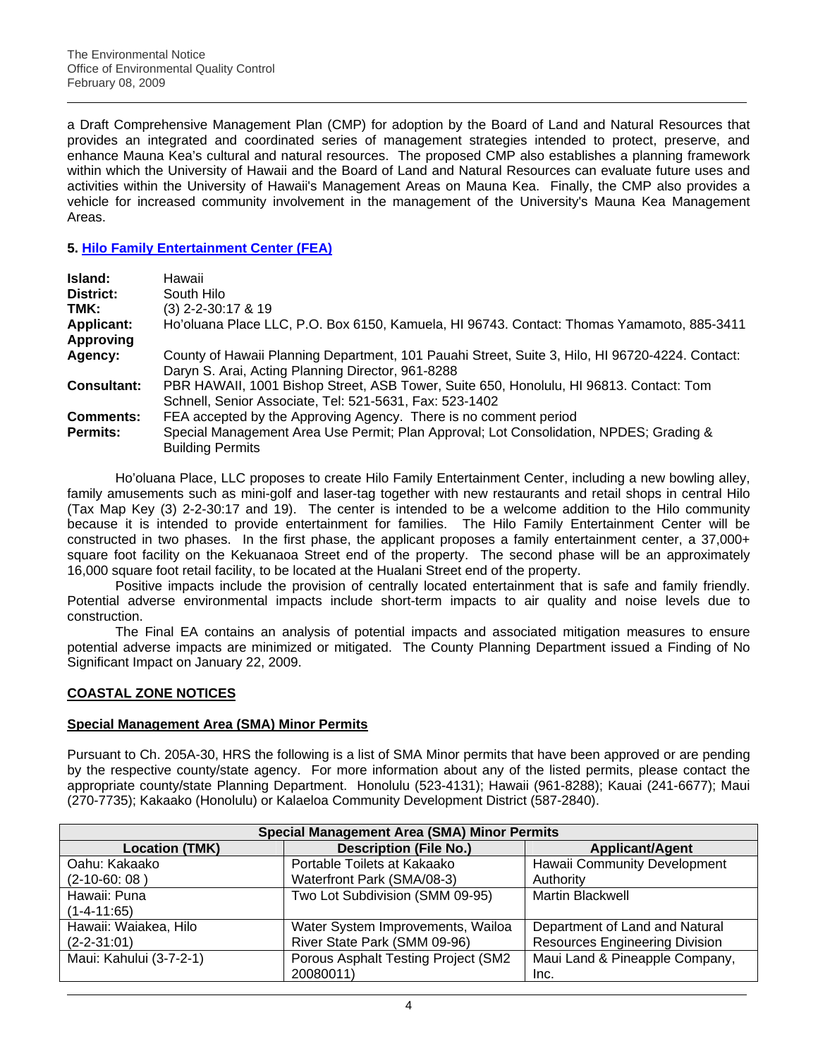a Draft Comprehensive Management Plan (CMP) for adoption by the Board of Land and Natural Resources that provides an integrated and coordinated series of management strategies intended to protect, preserve, and enhance Mauna Kea's cultural and natural resources. The proposed CMP also establishes a planning framework within which the University of Hawaii and the Board of Land and Natural Resources can evaluate future uses and activities within the University of Hawaii's Management Areas on Mauna Kea. Finally, the CMP also provides a vehicle for increased community involvement in the management of the University's Mauna Kea Management Areas.

## **5. [Hilo Family Entertainment Center \(FEA\)](http://oeqc.doh.hawaii.gov/Shared%20Documents/EA_and_EIS_Online_Library/Hawaii/2000s/2009-02-08-HA-FEA-Hilo-Family-Entertainment-Center.pdf)**

| Island:            | Hawaii                                                                                                                                               |
|--------------------|------------------------------------------------------------------------------------------------------------------------------------------------------|
| District:          | South Hilo                                                                                                                                           |
| TMK:               | $(3)$ 2-2-30:17 & 19                                                                                                                                 |
| <b>Applicant:</b>  | Ho'oluana Place LLC, P.O. Box 6150, Kamuela, HI 96743. Contact: Thomas Yamamoto, 885-3411                                                            |
| <b>Approving</b>   |                                                                                                                                                      |
| Agency:            | County of Hawaii Planning Department, 101 Pauahi Street, Suite 3, Hilo, HI 96720-4224. Contact:<br>Daryn S. Arai, Acting Planning Director, 961-8288 |
| <b>Consultant:</b> | PBR HAWAII, 1001 Bishop Street, ASB Tower, Suite 650, Honolulu, HI 96813. Contact: Tom<br>Schnell, Senior Associate, Tel: 521-5631, Fax: 523-1402    |
| <b>Comments:</b>   | FEA accepted by the Approving Agency. There is no comment period                                                                                     |
| <b>Permits:</b>    | Special Management Area Use Permit; Plan Approval; Lot Consolidation, NPDES; Grading &<br><b>Building Permits</b>                                    |

Ho'oluana Place, LLC proposes to create Hilo Family Entertainment Center, including a new bowling alley, family amusements such as mini-golf and laser-tag together with new restaurants and retail shops in central Hilo (Tax Map Key (3) 2-2-30:17 and 19). The center is intended to be a welcome addition to the Hilo community because it is intended to provide entertainment for families. The Hilo Family Entertainment Center will be constructed in two phases. In the first phase, the applicant proposes a family entertainment center, a 37,000+ square foot facility on the Kekuanaoa Street end of the property. The second phase will be an approximately 16,000 square foot retail facility, to be located at the Hualani Street end of the property.

Positive impacts include the provision of centrally located entertainment that is safe and family friendly. Potential adverse environmental impacts include short-term impacts to air quality and noise levels due to construction.

The Final EA contains an analysis of potential impacts and associated mitigation measures to ensure potential adverse impacts are minimized or mitigated. The County Planning Department issued a Finding of No Significant Impact on January 22, 2009.

# **COASTAL ZONE NOTICES**

## **Special Management Area (SMA) Minor Permits**

Pursuant to Ch. 205A-30, HRS the following is a list of SMA Minor permits that have been approved or are pending by the respective county/state agency. For more information about any of the listed permits, please contact the appropriate county/state Planning Department. Honolulu (523-4131); Hawaii (961-8288); Kauai (241-6677); Maui (270-7735); Kakaako (Honolulu) or Kalaeloa Community Development District (587-2840).

| <b>Special Management Area (SMA) Minor Permits</b> |                                     |                                       |  |  |
|----------------------------------------------------|-------------------------------------|---------------------------------------|--|--|
| <b>Location (TMK)</b>                              | <b>Description (File No.)</b>       | <b>Applicant/Agent</b>                |  |  |
| Oahu: Kakaako                                      | Portable Toilets at Kakaako         | Hawaii Community Development          |  |  |
| $(2-10-60:08)$                                     | Waterfront Park (SMA/08-3)          | Authority                             |  |  |
| Hawaii: Puna                                       | Two Lot Subdivision (SMM 09-95)     | <b>Martin Blackwell</b>               |  |  |
| $(1 - 4 - 11:65)$                                  |                                     |                                       |  |  |
| Hawaii: Waiakea, Hilo                              | Water System Improvements, Wailoa   | Department of Land and Natural        |  |  |
| $(2 - 2 - 31:01)$                                  | River State Park (SMM 09-96)        | <b>Resources Engineering Division</b> |  |  |
| Maui: Kahului (3-7-2-1)                            | Porous Asphalt Testing Project (SM2 | Maui Land & Pineapple Company,        |  |  |
|                                                    | 20080011)                           | Inc.                                  |  |  |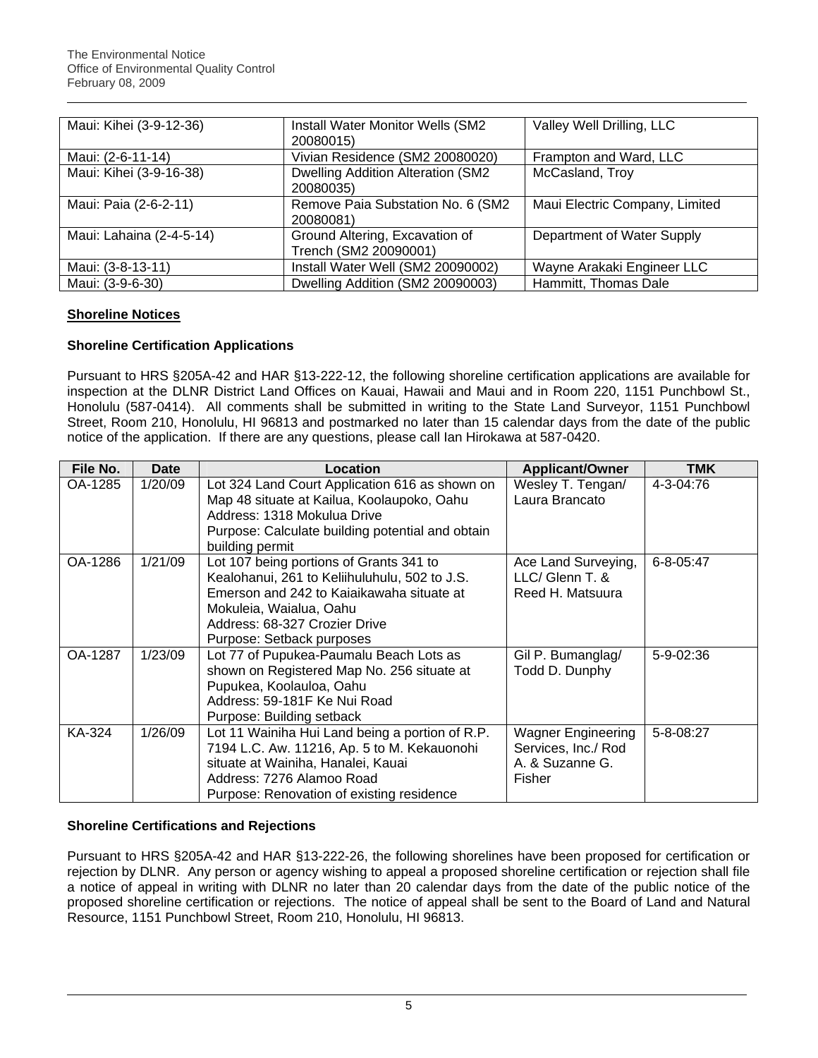| Maui: Kihei (3-9-12-36)  | Install Water Monitor Wells (SM2         | Valley Well Drilling, LLC      |  |
|--------------------------|------------------------------------------|--------------------------------|--|
|                          | 20080015)                                |                                |  |
| Maui: (2-6-11-14)        | Vivian Residence (SM2 20080020)          | Frampton and Ward, LLC         |  |
| Maui: Kihei (3-9-16-38)  | <b>Dwelling Addition Alteration (SM2</b> | McCasland, Troy                |  |
|                          | 20080035)                                |                                |  |
| Maui: Paia (2-6-2-11)    | Remove Paia Substation No. 6 (SM2)       | Maui Electric Company, Limited |  |
|                          | 20080081)                                |                                |  |
| Maui: Lahaina (2-4-5-14) | Ground Altering, Excavation of           | Department of Water Supply     |  |
|                          | Trench (SM2 20090001)                    |                                |  |
| Maui: (3-8-13-11)        | Install Water Well (SM2 20090002)        | Wayne Arakaki Engineer LLC     |  |
| Maui: (3-9-6-30)         | Dwelling Addition (SM2 20090003)         | Hammitt, Thomas Dale           |  |

# **Shoreline Notices**

# **Shoreline Certification Applications**

Pursuant to HRS §205A-42 and HAR §13-222-12, the following shoreline certification applications are available for inspection at the DLNR District Land Offices on Kauai, Hawaii and Maui and in Room 220, 1151 Punchbowl St., Honolulu (587-0414). All comments shall be submitted in writing to the State Land Surveyor, 1151 Punchbowl Street, Room 210, Honolulu, HI 96813 and postmarked no later than 15 calendar days from the date of the public notice of the application. If there are any questions, please call Ian Hirokawa at 587-0420.

| File No. | <b>Date</b> | Location                                                                                                                                                                                                                       | <b>Applicant/Owner</b>                                                        | <b>TMK</b>      |
|----------|-------------|--------------------------------------------------------------------------------------------------------------------------------------------------------------------------------------------------------------------------------|-------------------------------------------------------------------------------|-----------------|
| OA-1285  | 1/20/09     | Lot 324 Land Court Application 616 as shown on<br>Map 48 situate at Kailua, Koolaupoko, Oahu<br>Address: 1318 Mokulua Drive<br>Purpose: Calculate building potential and obtain<br>building permit                             | Wesley T. Tengan/<br>Laura Brancato                                           | 4-3-04:76       |
| OA-1286  | 1/21/09     | Lot 107 being portions of Grants 341 to<br>Kealohanui, 261 to Keliihuluhulu, 502 to J.S.<br>Emerson and 242 to Kaiaikawaha situate at<br>Mokuleia, Waialua, Oahu<br>Address: 68-327 Crozier Drive<br>Purpose: Setback purposes | Ace Land Surveying,<br>LLC/ Glenn T. &<br>Reed H. Matsuura                    | $6 - 8 - 05:47$ |
| OA-1287  | 1/23/09     | Lot 77 of Pupukea-Paumalu Beach Lots as<br>shown on Registered Map No. 256 situate at<br>Pupukea, Koolauloa, Oahu<br>Address: 59-181F Ke Nui Road<br>Purpose: Building setback                                                 | Gil P. Bumanglag/<br>Todd D. Dunphy                                           | $5 - 9 - 02:36$ |
| KA-324   | 1/26/09     | Lot 11 Wainiha Hui Land being a portion of R.P.<br>7194 L.C. Aw. 11216, Ap. 5 to M. Kekauonohi<br>situate at Wainiha, Hanalei, Kauai<br>Address: 7276 Alamoo Road<br>Purpose: Renovation of existing residence                 | <b>Wagner Engineering</b><br>Services, Inc./ Rod<br>A. & Suzanne G.<br>Fisher | 5-8-08:27       |

## **Shoreline Certifications and Rejections**

Pursuant to HRS §205A-42 and HAR §13-222-26, the following shorelines have been proposed for certification or rejection by DLNR. Any person or agency wishing to appeal a proposed shoreline certification or rejection shall file a notice of appeal in writing with DLNR no later than 20 calendar days from the date of the public notice of the proposed shoreline certification or rejections. The notice of appeal shall be sent to the Board of Land and Natural Resource, 1151 Punchbowl Street, Room 210, Honolulu, HI 96813.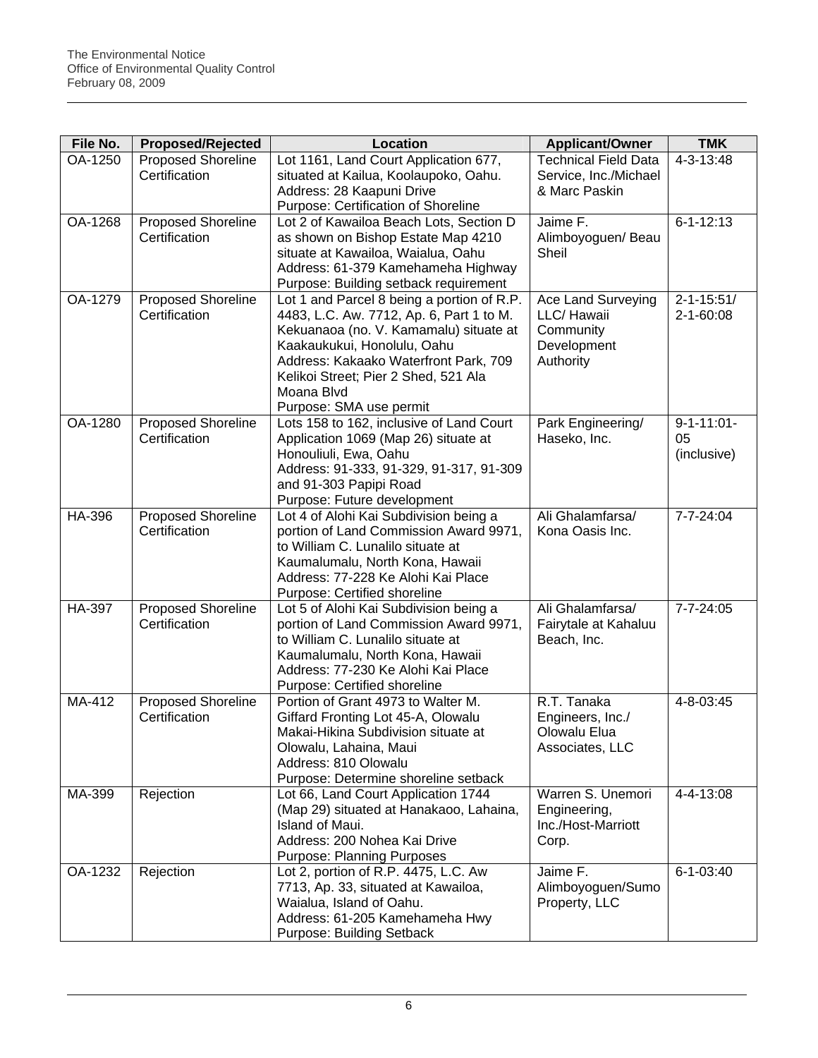| File No. | <b>Proposed/Rejected</b>  | <b>Location</b>                                                      | <b>Applicant/Owner</b>      | <b>TMK</b>        |
|----------|---------------------------|----------------------------------------------------------------------|-----------------------------|-------------------|
| OA-1250  | <b>Proposed Shoreline</b> | Lot 1161, Land Court Application 677,                                | <b>Technical Field Data</b> | 4-3-13:48         |
|          | Certification             | situated at Kailua, Koolaupoko, Oahu.                                | Service, Inc./Michael       |                   |
|          |                           | Address: 28 Kaapuni Drive                                            | & Marc Paskin               |                   |
|          |                           | Purpose: Certification of Shoreline                                  |                             |                   |
| OA-1268  | <b>Proposed Shoreline</b> | Lot 2 of Kawailoa Beach Lots, Section D                              | Jaime F.                    | $6 - 1 - 12:13$   |
|          | Certification             | as shown on Bishop Estate Map 4210                                   | Alimboyoguen/ Beau          |                   |
|          |                           | situate at Kawailoa, Waialua, Oahu                                   | Sheil                       |                   |
|          |                           | Address: 61-379 Kamehameha Highway                                   |                             |                   |
|          |                           | Purpose: Building setback requirement                                |                             |                   |
| OA-1279  | <b>Proposed Shoreline</b> | Lot 1 and Parcel 8 being a portion of R.P.                           | Ace Land Surveying          | $2 - 1 - 15:51/$  |
|          | Certification             | 4483, L.C. Aw. 7712, Ap. 6, Part 1 to M.                             | LLC/ Hawaii                 | $2 - 1 - 60:08$   |
|          |                           | Kekuanaoa (no. V. Kamamalu) situate at                               | Community                   |                   |
|          |                           | Kaakaukukui, Honolulu, Oahu<br>Address: Kakaako Waterfront Park, 709 | Development<br>Authority    |                   |
|          |                           | Kelikoi Street; Pier 2 Shed, 521 Ala                                 |                             |                   |
|          |                           | Moana Blvd                                                           |                             |                   |
|          |                           | Purpose: SMA use permit                                              |                             |                   |
| OA-1280  | <b>Proposed Shoreline</b> | Lots 158 to 162, inclusive of Land Court                             | Park Engineering/           | $9 - 1 - 11:01 -$ |
|          | Certification             | Application 1069 (Map 26) situate at                                 | Haseko, Inc.                | 05                |
|          |                           | Honouliuli, Ewa, Oahu                                                |                             | (inclusive)       |
|          |                           | Address: 91-333, 91-329, 91-317, 91-309                              |                             |                   |
|          |                           | and 91-303 Papipi Road                                               |                             |                   |
|          |                           | Purpose: Future development                                          |                             |                   |
| HA-396   | <b>Proposed Shoreline</b> | Lot 4 of Alohi Kai Subdivision being a                               | Ali Ghalamfarsa/            | 7-7-24:04         |
|          | Certification             | portion of Land Commission Award 9971,                               | Kona Oasis Inc.             |                   |
|          |                           | to William C. Lunalilo situate at                                    |                             |                   |
|          |                           | Kaumalumalu, North Kona, Hawaii                                      |                             |                   |
|          |                           | Address: 77-228 Ke Alohi Kai Place                                   |                             |                   |
|          |                           | Purpose: Certified shoreline                                         |                             |                   |
| HA-397   | Proposed Shoreline        | Lot 5 of Alohi Kai Subdivision being a                               | Ali Ghalamfarsa/            | 7-7-24:05         |
|          | Certification             | portion of Land Commission Award 9971,                               | Fairytale at Kahaluu        |                   |
|          |                           | to William C. Lunalilo situate at<br>Kaumalumalu, North Kona, Hawaii | Beach, Inc.                 |                   |
|          |                           | Address: 77-230 Ke Alohi Kai Place                                   |                             |                   |
|          |                           | Purpose: Certified shoreline                                         |                             |                   |
| MA-412   | Proposed Shoreline        | Portion of Grant 4973 to Walter M.                                   | R.T. Tanaka                 | 4-8-03:45         |
|          | Certification             | Giffard Fronting Lot 45-A, Olowalu                                   | Engineers, Inc./            |                   |
|          |                           | Makai-Hikina Subdivision situate at                                  | Olowalu Elua                |                   |
|          |                           | Olowalu, Lahaina, Maui                                               | Associates, LLC             |                   |
|          |                           | Address: 810 Olowalu                                                 |                             |                   |
|          |                           | Purpose: Determine shoreline setback                                 |                             |                   |
| MA-399   | Rejection                 | Lot 66, Land Court Application 1744                                  | Warren S. Unemori           | 4-4-13:08         |
|          |                           | (Map 29) situated at Hanakaoo, Lahaina,                              | Engineering,                |                   |
|          |                           | Island of Maui.                                                      | Inc./Host-Marriott          |                   |
|          |                           | Address: 200 Nohea Kai Drive                                         | Corp.                       |                   |
|          |                           | <b>Purpose: Planning Purposes</b>                                    |                             |                   |
| OA-1232  | Rejection                 | Lot 2, portion of R.P. 4475, L.C. Aw                                 | Jaime F.                    | $6 - 1 - 03:40$   |
|          |                           | 7713, Ap. 33, situated at Kawailoa,                                  | Alimboyoguen/Sumo           |                   |
|          |                           | Waialua, Island of Oahu.                                             | Property, LLC               |                   |
|          |                           | Address: 61-205 Kamehameha Hwy                                       |                             |                   |
|          |                           | Purpose: Building Setback                                            |                             |                   |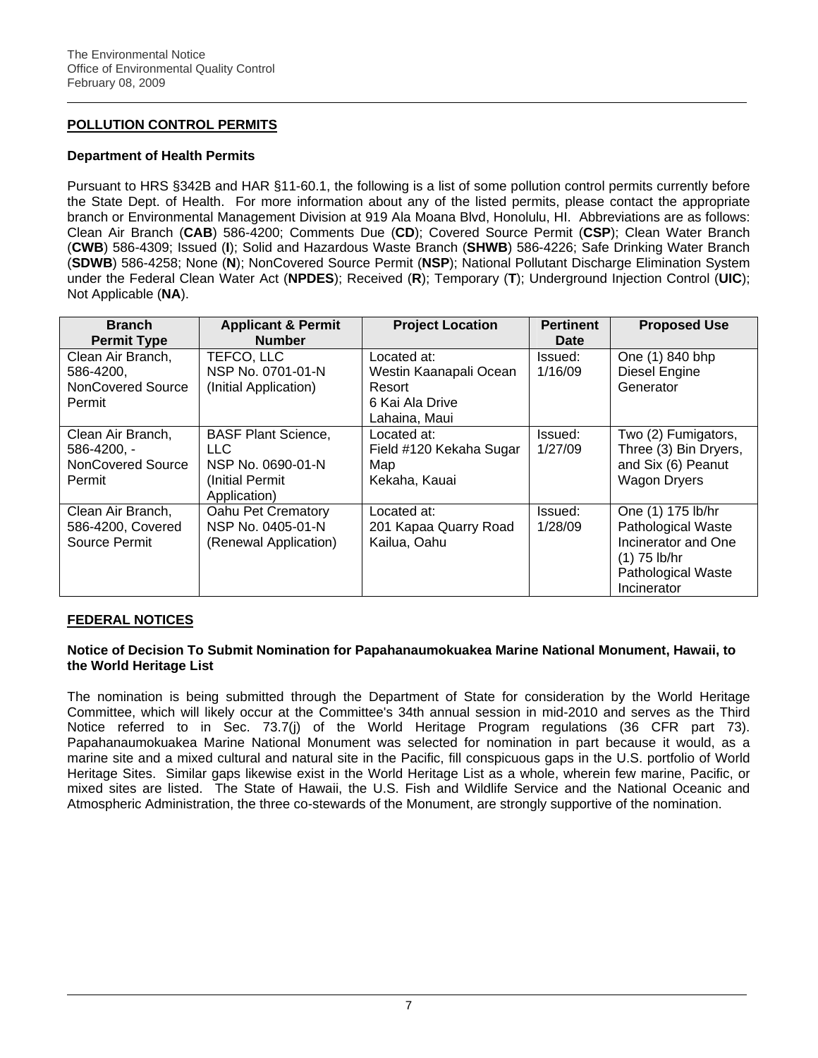# **POLLUTION CONTROL PERMITS**

## **Department of Health Permits**

Pursuant to HRS §342B and HAR §11-60.1, the following is a list of some pollution control permits currently before the State Dept. of Health. For more information about any of the listed permits, please contact the appropriate branch or Environmental Management Division at 919 Ala Moana Blvd, Honolulu, HI. Abbreviations are as follows: Clean Air Branch (**CAB**) 586-4200; Comments Due (**CD**); Covered Source Permit (**CSP**); Clean Water Branch (**CWB**) 586-4309; Issued (**I**); Solid and Hazardous Waste Branch (**SHWB**) 586-4226; Safe Drinking Water Branch (**SDWB**) 586-4258; None (**N**); NonCovered Source Permit (**NSP**); National Pollutant Discharge Elimination System under the Federal Clean Water Act (**NPDES**); Received (**R**); Temporary (**T**); Underground Injection Control (**UIC**); Not Applicable (**NA**).

| <b>Branch</b><br><b>Permit Type</b>                             | <b>Applicant &amp; Permit</b><br><b>Number</b>                                                    | <b>Project Location</b>                                                             | <b>Pertinent</b><br>Date | <b>Proposed Use</b>                                                                                                                 |
|-----------------------------------------------------------------|---------------------------------------------------------------------------------------------------|-------------------------------------------------------------------------------------|--------------------------|-------------------------------------------------------------------------------------------------------------------------------------|
| Clean Air Branch,<br>586-4200,<br>NonCovered Source<br>Permit   | TEFCO, LLC<br>NSP No. 0701-01-N<br>(Initial Application)                                          | Located at:<br>Westin Kaanapali Ocean<br>Resort<br>6 Kai Ala Drive<br>Lahaina, Maui | Issued:<br>1/16/09       | One (1) 840 bhp<br>Diesel Engine<br>Generator                                                                                       |
| Clean Air Branch,<br>586-4200, -<br>NonCovered Source<br>Permit | <b>BASF Plant Science,</b><br><b>LLC</b><br>NSP No. 0690-01-N<br>(Initial Permit)<br>Application) | Located at:<br>Field #120 Kekaha Sugar<br>Map<br>Kekaha, Kauai                      | Issued:<br>1/27/09       | Two (2) Fumigators,<br>Three (3) Bin Dryers,<br>and Six (6) Peanut<br><b>Wagon Dryers</b>                                           |
| Clean Air Branch,<br>586-4200, Covered<br>Source Permit         | Oahu Pet Crematory<br>NSP No. 0405-01-N<br>(Renewal Application)                                  | Located at:<br>201 Kapaa Quarry Road<br>Kailua, Oahu                                | Issued:<br>1/28/09       | One (1) 175 lb/hr<br><b>Pathological Waste</b><br>Incinerator and One<br>$(1)$ 75 lb/hr<br><b>Pathological Waste</b><br>Incinerator |

## **FEDERAL NOTICES**

## **Notice of Decision To Submit Nomination for Papahanaumokuakea Marine National Monument, Hawaii, to the World Heritage List**

The nomination is being submitted through the Department of State for consideration by the World Heritage Committee, which will likely occur at the Committee's 34th annual session in mid-2010 and serves as the Third Notice referred to in Sec. 73.7(j) of the World Heritage Program regulations (36 CFR part 73). Papahanaumokuakea Marine National Monument was selected for nomination in part because it would, as a marine site and a mixed cultural and natural site in the Pacific, fill conspicuous gaps in the U.S. portfolio of World Heritage Sites. Similar gaps likewise exist in the World Heritage List as a whole, wherein few marine, Pacific, or mixed sites are listed. The State of Hawaii, the U.S. Fish and Wildlife Service and the National Oceanic and Atmospheric Administration, the three co-stewards of the Monument, are strongly supportive of the nomination.